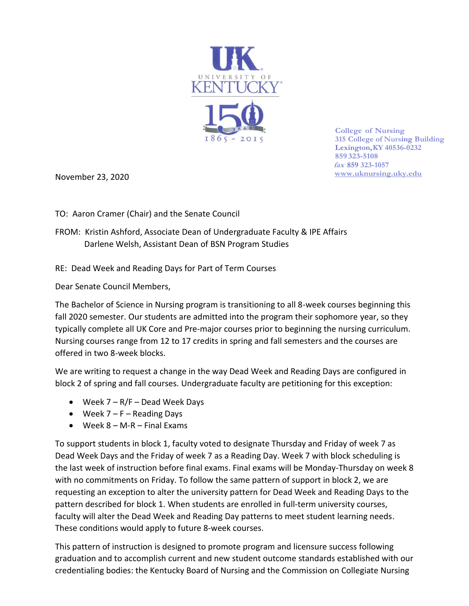

**College of Nursing 315 College of Nursing Building Lexington,KY 40536-0232 859 323-5108 fax 859 323-1057 [www.uknursing.uky.edu](http://www/)**

November 23, 2020

TO: Aaron Cramer (Chair) and the Senate Council

FROM: Kristin Ashford, Associate Dean of Undergraduate Faculty & IPE Affairs Darlene Welsh, Assistant Dean of BSN Program Studies

RE: Dead Week and Reading Days for Part of Term Courses

Dear Senate Council Members,

The Bachelor of Science in Nursing program is transitioning to all 8-week courses beginning this fall 2020 semester. Our students are admitted into the program their sophomore year, so they typically complete all UK Core and Pre-major courses prior to beginning the nursing curriculum. Nursing courses range from 12 to 17 credits in spring and fall semesters and the courses are offered in two 8-week blocks.

We are writing to request a change in the way Dead Week and Reading Days are configured in block 2 of spring and fall courses. Undergraduate faculty are petitioning for this exception:

- Week 7 R/F Dead Week Days
- Week  $7 F -$  Reading Days
- $\bullet$  Week 8 M-R Final Exams

To support students in block 1, faculty voted to designate Thursday and Friday of week 7 as Dead Week Days and the Friday of week 7 as a Reading Day. Week 7 with block scheduling is the last week of instruction before final exams. Final exams will be Monday-Thursday on week 8 with no commitments on Friday. To follow the same pattern of support in block 2, we are requesting an exception to alter the university pattern for Dead Week and Reading Days to the pattern described for block 1. When students are enrolled in full-term university courses, faculty will alter the Dead Week and Reading Day patterns to meet student learning needs. These conditions would apply to future 8-week courses.

This pattern of instruction is designed to promote program and licensure success following graduation and to accomplish current and new student outcome standards established with our credentialing bodies: the Kentucky Board of Nursing and the Commission on Collegiate Nursing